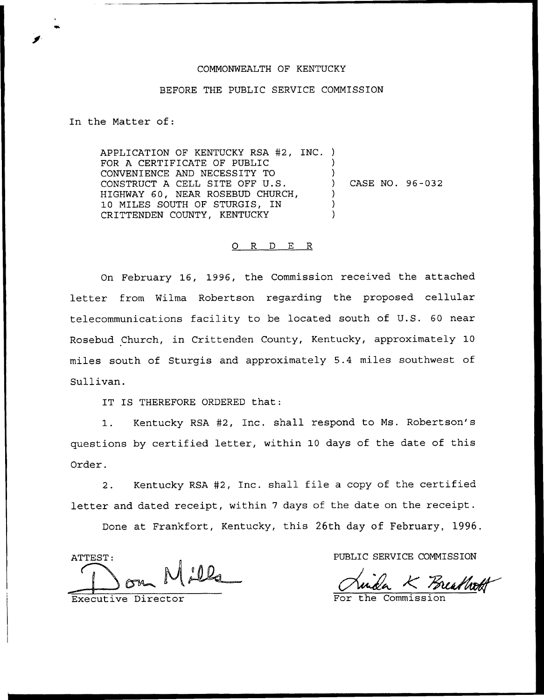## COMMONWEALTH OF KENTUCKY

## BEFORE THE PUBLIC SERVICE COMMISSION

In the Matter of:

APPLICATION OF KENTUCKY RSA #2, INC. ) FOR A CERTIFICATE OF PUBLIC CONVENIENCE AND NECESSITY TO CONSTRUCT <sup>A</sup> CELL SITE OFF U.S. HIGHWAY 60, NEAR ROSEBUD CHURCH, 10 MILES SOUTH OF STURGIS, IN CRITTENDEN COUNTY, KENTUCKY ) ) CASE NO. 96-032 ) ) )

## 0 R <sup>D</sup> E R

On February 16, 1996, the Commission received the attached letter from Wilma Robertson regarding the proposed cellular telecommunications facility to be located south of U.S. 60 near Rosebud Church, in Crittenden County, Kentucky, approximately 10 miles south of Sturgis and approximately 5.4 miles southwest of Sullivan.

IT IS THEREFORE ORDERED that:

1. Kentucky RSA #2, Inc. shall respond to Ms. Robertson's questions by certified letter, within 10 days of the date of this Order.

Kentucky RSA #2, Inc. shall file a copy of the certified  $2.$ letter and dated receipt, within <sup>7</sup> days of the date on the receipt.

Done at Frankfort, Kentucky, this 26th day of February, 1996.

ATTEST:

Executive Director

PUBLIC SERVICE COMMISSION

Freathon

For the Commission